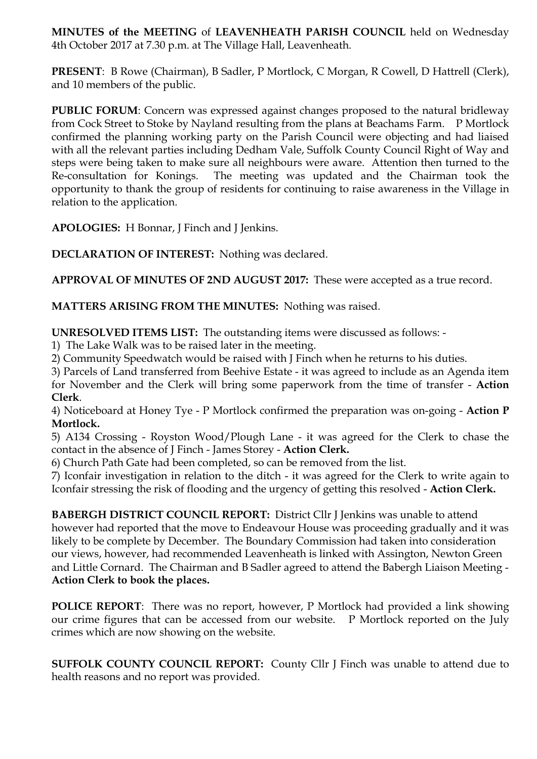**MINUTES of the MEETING** of **LEAVENHEATH PARISH COUNCIL** held on Wednesday 4th October 2017 at 7.30 p.m. at The Village Hall, Leavenheath.

**PRESENT**: B Rowe (Chairman), B Sadler, P Mortlock, C Morgan, R Cowell, D Hattrell (Clerk), and 10 members of the public.

**PUBLIC FORUM:** Concern was expressed against changes proposed to the natural bridleway from Cock Street to Stoke by Nayland resulting from the plans at Beachams Farm. P Mortlock confirmed the planning working party on the Parish Council were objecting and had liaised with all the relevant parties including Dedham Vale, Suffolk County Council Right of Way and steps were being taken to make sure all neighbours were aware. Attention then turned to the Re-consultation for Konings. The meeting was updated and the Chairman took the opportunity to thank the group of residents for continuing to raise awareness in the Village in relation to the application.

**APOLOGIES:** H Bonnar, J Finch and J Jenkins.

**DECLARATION OF INTEREST:** Nothing was declared.

**APPROVAL OF MINUTES OF 2ND AUGUST 2017:** These were accepted as a true record.

**MATTERS ARISING FROM THE MINUTES:** Nothing was raised.

**UNRESOLVED ITEMS LIST:** The outstanding items were discussed as follows: -

1) The Lake Walk was to be raised later in the meeting.

2) Community Speedwatch would be raised with J Finch when he returns to his duties.

3) Parcels of Land transferred from Beehive Estate - it was agreed to include as an Agenda item for November and the Clerk will bring some paperwork from the time of transfer - **Action Clerk**.

4) Noticeboard at Honey Tye - P Mortlock confirmed the preparation was on-going - **Action P Mortlock.**

5) A134 Crossing - Royston Wood/Plough Lane - it was agreed for the Clerk to chase the contact in the absence of J Finch - James Storey - **Action Clerk.**

6) Church Path Gate had been completed, so can be removed from the list.

7) Iconfair investigation in relation to the ditch - it was agreed for the Clerk to write again to Iconfair stressing the risk of flooding and the urgency of getting this resolved - **Action Clerk.**

**BABERGH DISTRICT COUNCIL REPORT:** District Cllr J Jenkins was unable to attend however had reported that the move to Endeavour House was proceeding gradually and it was likely to be complete by December. The Boundary Commission had taken into consideration our views, however, had recommended Leavenheath is linked with Assington, Newton Green and Little Cornard. The Chairman and B Sadler agreed to attend the Babergh Liaison Meeting - **Action Clerk to book the places.** 

**POLICE REPORT:** There was no report, however, P Mortlock had provided a link showing our crime figures that can be accessed from our website. P Mortlock reported on the July crimes which are now showing on the website.

**SUFFOLK COUNTY COUNCIL REPORT:** County Cllr J Finch was unable to attend due to health reasons and no report was provided.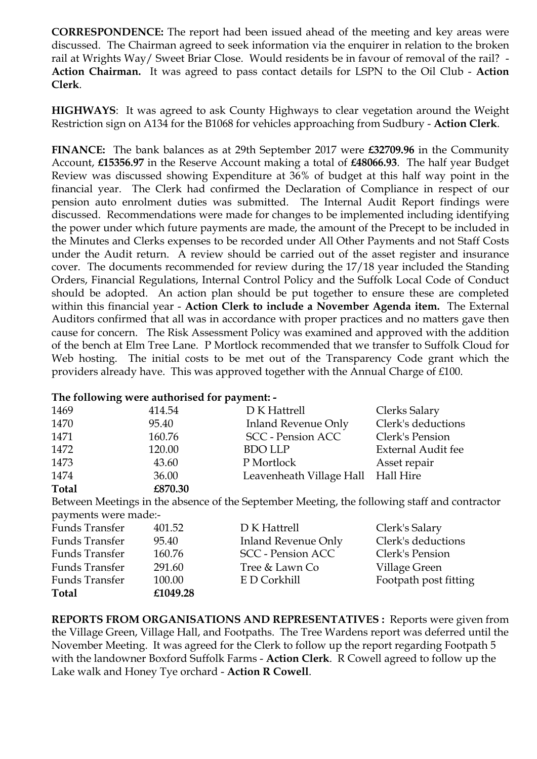**CORRESPONDENCE:** The report had been issued ahead of the meeting and key areas were discussed. The Chairman agreed to seek information via the enquirer in relation to the broken rail at Wrights Way/ Sweet Briar Close. Would residents be in favour of removal of the rail? - **Action Chairman.** It was agreed to pass contact details for LSPN to the Oil Club - **Action Clerk**.

**HIGHWAYS**: It was agreed to ask County Highways to clear vegetation around the Weight Restriction sign on A134 for the B1068 for vehicles approaching from Sudbury - **Action Clerk**.

**FINANCE:** The bank balances as at 29th September 2017 were **£32709.96** in the Community Account, **£15356.97** in the Reserve Account making a total of **£48066.93**. The half year Budget Review was discussed showing Expenditure at 36% of budget at this half way point in the financial year. The Clerk had confirmed the Declaration of Compliance in respect of our pension auto enrolment duties was submitted. The Internal Audit Report findings were discussed. Recommendations were made for changes to be implemented including identifying the power under which future payments are made, the amount of the Precept to be included in the Minutes and Clerks expenses to be recorded under All Other Payments and not Staff Costs under the Audit return. A review should be carried out of the asset register and insurance cover. The documents recommended for review during the 17/18 year included the Standing Orders, Financial Regulations, Internal Control Policy and the Suffolk Local Code of Conduct should be adopted. An action plan should be put together to ensure these are completed within this financial year - **Action Clerk to include a November Agenda item.** The External Auditors confirmed that all was in accordance with proper practices and no matters gave then cause for concern. The Risk Assessment Policy was examined and approved with the addition of the bench at Elm Tree Lane. P Mortlock recommended that we transfer to Suffolk Cloud for Web hosting. The initial costs to be met out of the Transparency Code grant which the providers already have. This was approved together with the Annual Charge of £100.

## **The following were authorised for payment: -**

| 1469         | 414.54  | D K Hattrell                       | Clerks Salary      |
|--------------|---------|------------------------------------|--------------------|
| 1470         | 95.40   | <b>Inland Revenue Only</b>         | Clerk's deductions |
| 1471         | 160.76  | <b>SCC</b> - Pension ACC           | Clerk's Pension    |
| 1472         | 120.00  | <b>BDO LLP</b>                     | External Audit fee |
| 1473         | 43.60   | P Mortlock                         | Asset repair       |
| 1474         | 36.00   | Leavenheath Village Hall Hall Hire |                    |
| <b>Total</b> | £870.30 |                                    |                    |

Between Meetings in the absence of the September Meeting, the following staff and contractor payments were made:-

| Funds Transfer | 401.52   | D K Hattrell             | Clerk's Salary        |
|----------------|----------|--------------------------|-----------------------|
| Funds Transfer | 95.40    | Inland Revenue Only      | Clerk's deductions    |
| Funds Transfer | 160.76   | <b>SCC</b> - Pension ACC | Clerk's Pension       |
| Funds Transfer | 291.60   | Tree & Lawn Co           | Village Green         |
| Funds Transfer | 100.00   | E D Corkhill             | Footpath post fitting |
| <b>Total</b>   | £1049.28 |                          |                       |

**REPORTS FROM ORGANISATIONS AND REPRESENTATIVES :** Reports were given from the Village Green, Village Hall, and Footpaths. The Tree Wardens report was deferred until the November Meeting. It was agreed for the Clerk to follow up the report regarding Footpath 5 with the landowner Boxford Suffolk Farms - **Action Clerk**. R Cowell agreed to follow up the Lake walk and Honey Tye orchard - **Action R Cowell**.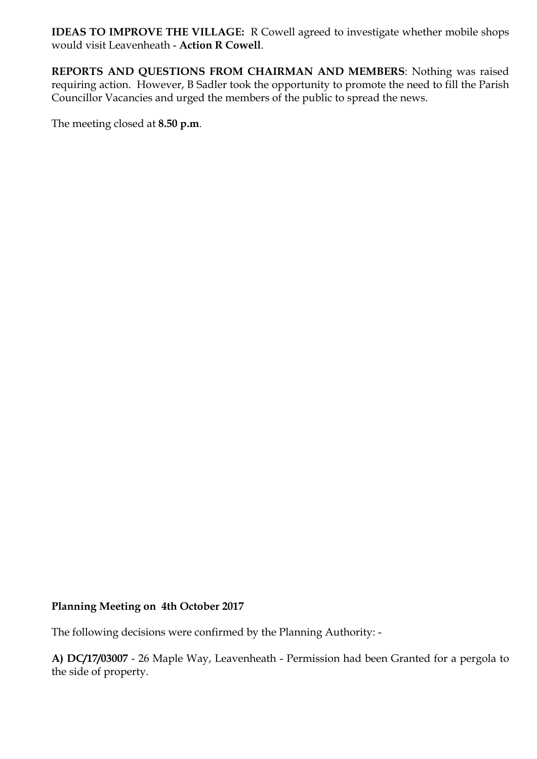**IDEAS TO IMPROVE THE VILLAGE:** R Cowell agreed to investigate whether mobile shops would visit Leavenheath - **Action R Cowell**.

**REPORTS AND QUESTIONS FROM CHAIRMAN AND MEMBERS**: Nothing was raised requiring action. However, B Sadler took the opportunity to promote the need to fill the Parish Councillor Vacancies and urged the members of the public to spread the news.

The meeting closed at **8.50 p.m**.

## **Planning Meeting on 4th October 2017**

The following decisions were confirmed by the Planning Authority: -

**A) DC/17/03007** - 26 Maple Way, Leavenheath - Permission had been Granted for a pergola to the side of property.